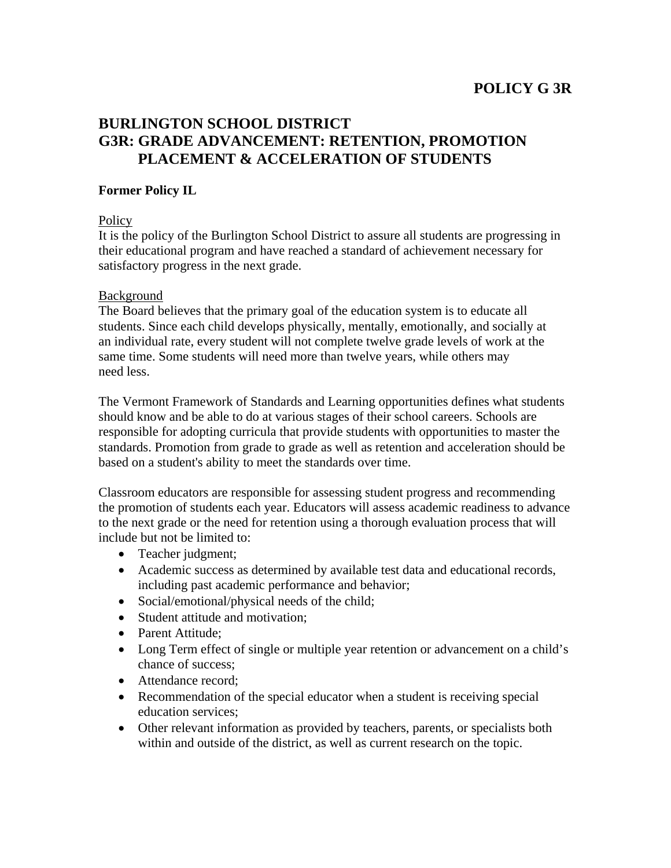## **POLICY G 3R**

# **BURLINGTON SCHOOL DISTRICT G3R: GRADE ADVANCEMENT: RETENTION, PROMOTION PLACEMENT & ACCELERATION OF STUDENTS**

## **Former Policy IL**

### **Policy**

It is the policy of the Burlington School District to assure all students are progressing in their educational program and have reached a standard of achievement necessary for satisfactory progress in the next grade.

### Background

The Board believes that the primary goal of the education system is to educate all students. Since each child develops physically, mentally, emotionally, and socially at an individual rate, every student will not complete twelve grade levels of work at the same time. Some students will need more than twelve years, while others may need less.

The Vermont Framework of Standards and Learning opportunities defines what students should know and be able to do at various stages of their school careers. Schools are responsible for adopting curricula that provide students with opportunities to master the standards. Promotion from grade to grade as well as retention and acceleration should be based on a student's ability to meet the standards over time.

Classroom educators are responsible for assessing student progress and recommending the promotion of students each year. Educators will assess academic readiness to advance to the next grade or the need for retention using a thorough evaluation process that will include but not be limited to:

- Teacher judgment;
- Academic success as determined by available test data and educational records, including past academic performance and behavior;
- Social/emotional/physical needs of the child;
- Student attitude and motivation:
- Parent Attitude:
- Long Term effect of single or multiple year retention or advancement on a child's chance of success;
- Attendance record:
- Recommendation of the special educator when a student is receiving special education services;
- Other relevant information as provided by teachers, parents, or specialists both within and outside of the district, as well as current research on the topic.